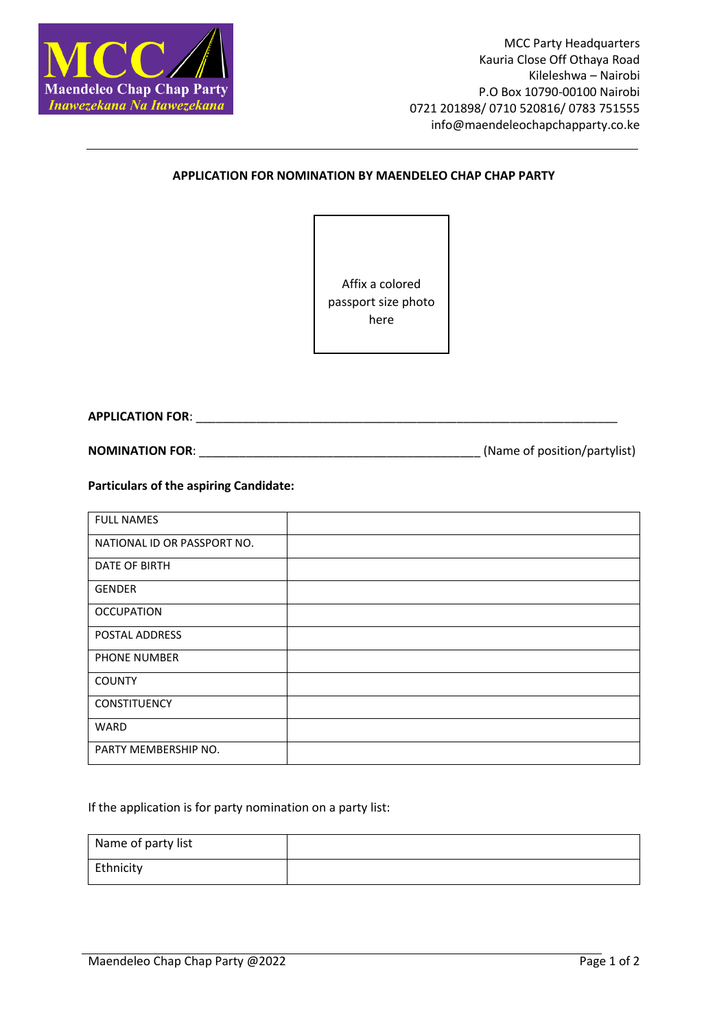

## **APPLICATION FOR NOMINATION BY MAENDELEO CHAP CHAP PARTY**

Affix a colored passport size photo here

**APPLICATION FOR**: \_\_\_\_\_\_\_\_\_\_\_\_\_\_\_\_\_\_\_\_\_\_\_\_\_\_\_\_\_\_\_\_\_\_\_\_\_\_\_\_\_\_\_\_\_\_\_\_\_\_\_\_\_\_\_\_\_\_\_\_\_\_\_

**NOMINATION FOR:**  $\blacksquare$ 

**Particulars of the aspiring Candidate:**

| <b>FULL NAMES</b>           |  |
|-----------------------------|--|
| NATIONAL ID OR PASSPORT NO. |  |
| DATE OF BIRTH               |  |
| <b>GENDER</b>               |  |
| <b>OCCUPATION</b>           |  |
| POSTAL ADDRESS              |  |
| PHONE NUMBER                |  |
| <b>COUNTY</b>               |  |
| CONSTITUENCY                |  |
| <b>WARD</b>                 |  |
| PARTY MEMBERSHIP NO.        |  |

If the application is for party nomination on a party list:

| Name of party list |  |
|--------------------|--|
| Ethnicity          |  |